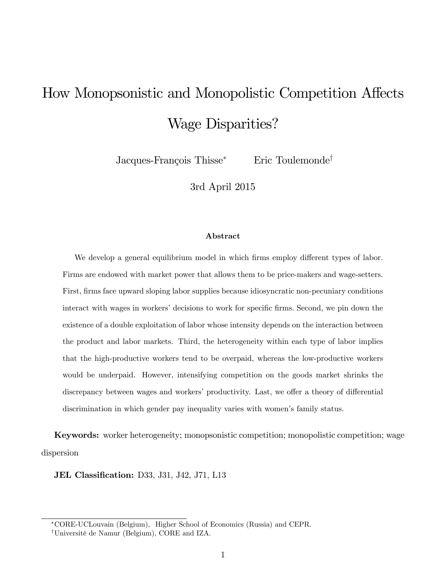# How Monopsonistic and Monopolistic Competition Affects Wage Disparities?

Jacques-François Thisse<sup>\*</sup> Eric Toulemonde<sup>†</sup>

3rd April 2015

#### Abstract

We develop a general equilibrium model in which firms employ different types of labor. Firms are endowed with market power that allows them to be price-makers and wage-setters. First, firms face upward sloping labor supplies because idiosyncratic non-pecuniary conditions interact with wages in workers' decisions to work for specific firms. Second, we pin down the existence of a double exploitation of labor whose intensity depends on the interaction between the product and labor markets. Third, the heterogeneity within each type of labor implies that the high-productive workers tend to be overpaid, whereas the low-productive workers would be underpaid. However, intensifying competition on the goods market shrinks the discrepancy between wages and workers' productivity. Last, we offer a theory of differential discrimination in which gender pay inequality varies with women's family status.

Keywords: worker heterogeneity; monopsonistic competition; monopolistic competition; wage dispersion

**JEL Classification:** D33, J31, J42, J71, L13

CORE-UCLouvain (Belgium), Higher School of Economics (Russia) and CEPR.

<sup>&</sup>lt;sup>†</sup>Université de Namur (Belgium), CORE and IZA.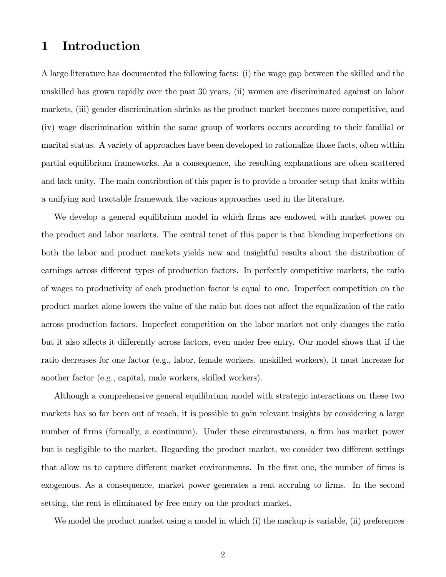## 1 Introduction

A large literature has documented the following facts: (i) the wage gap between the skilled and the unskilled has grown rapidly over the past 30 years, (ii) women are discriminated against on labor markets, (iii) gender discrimination shrinks as the product market becomes more competitive, and (iv) wage discrimination within the same group of workers occurs according to their familial or marital status. A variety of approaches have been developed to rationalize those facts, often within partial equilibrium frameworks. As a consequence, the resulting explanations are often scattered and lack unity. The main contribution of this paper is to provide a broader setup that knits within a unifying and tractable framework the various approaches used in the literature.

We develop a general equilibrium model in which firms are endowed with market power on the product and labor markets. The central tenet of this paper is that blending imperfections on both the labor and product markets yields new and insightful results about the distribution of earnings across different types of production factors. In perfectly competitive markets, the ratio of wages to productivity of each production factor is equal to one. Imperfect competition on the product market alone lowers the value of the ratio but does not affect the equalization of the ratio across production factors. Imperfect competition on the labor market not only changes the ratio but it also affects it differently across factors, even under free entry. Our model shows that if the ratio decreases for one factor (e.g., labor, female workers, unskilled workers), it must increase for another factor (e.g., capital, male workers, skilled workers).

Although a comprehensive general equilibrium model with strategic interactions on these two markets has so far been out of reach, it is possible to gain relevant insights by considering a large number of firms (formally, a continuum). Under these circumstances, a firm has market power but is negligible to the market. Regarding the product market, we consider two different settings that allow us to capture different market environments. In the first one, the number of firms is exogenous. As a consequence, market power generates a rent accruing to firms. In the second setting, the rent is eliminated by free entry on the product market.

We model the product market using a model in which (i) the markup is variable, (ii) preferences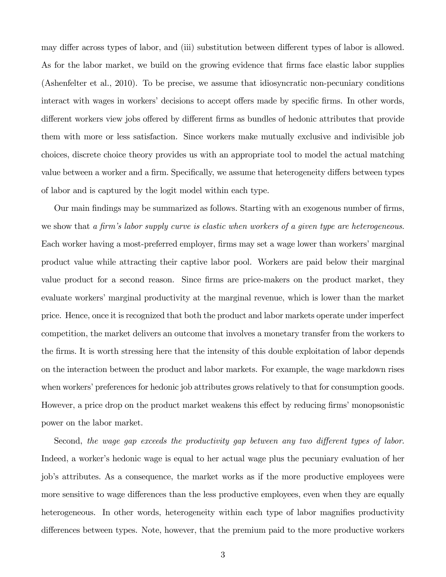may differ across types of labor, and (iii) substitution between different types of labor is allowed. As for the labor market, we build on the growing evidence that firms face elastic labor supplies (Ashenfelter et al., 2010). To be precise, we assume that idiosyncratic non-pecuniary conditions interact with wages in workers' decisions to accept offers made by specific firms. In other words, different workers view jobs offered by different firms as bundles of hedonic attributes that provide them with more or less satisfaction. Since workers make mutually exclusive and indivisible job choices, discrete choice theory provides us with an appropriate tool to model the actual matching value between a worker and a firm. Specifically, we assume that heterogeneity differs between types of labor and is captured by the logit model within each type.

Our main findings may be summarized as follows. Starting with an exogenous number of firms, we show that a firm's labor supply curve is elastic when workers of a given type are heterogeneous. Each worker having a most-preferred employer, firms may set a wage lower than workers' marginal product value while attracting their captive labor pool. Workers are paid below their marginal value product for a second reason. Since firms are price-makers on the product market, they evaluate workers' marginal productivity at the marginal revenue, which is lower than the market price. Hence, once it is recognized that both the product and labor markets operate under imperfect competition, the market delivers an outcome that involves a monetary transfer from the workers to the firms. It is worth stressing here that the intensity of this double exploitation of labor depends on the interaction between the product and labor markets. For example, the wage markdown rises when workers' preferences for hedonic job attributes grows relatively to that for consumption goods. However, a price drop on the product market weakens this effect by reducing firms' monopsonistic power on the labor market.

Second, the wage gap exceeds the productivity gap between any two different types of labor. Indeed, a worker's hedonic wage is equal to her actual wage plus the pecuniary evaluation of her job's attributes. As a consequence, the market works as if the more productive employees were more sensitive to wage differences than the less productive employees, even when they are equally heterogeneous. In other words, heterogeneity within each type of labor magnifies productivity differences between types. Note, however, that the premium paid to the more productive workers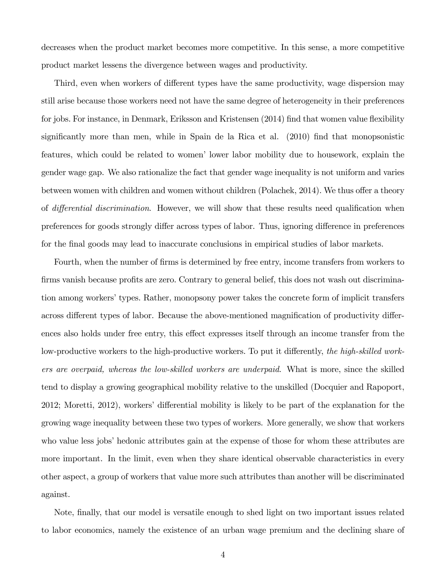decreases when the product market becomes more competitive. In this sense, a more competitive product market lessens the divergence between wages and productivity.

Third, even when workers of different types have the same productivity, wage dispersion may still arise because those workers need not have the same degree of heterogeneity in their preferences for jobs. For instance, in Denmark, Eriksson and Kristensen (2014) find that women value flexibility significantly more than men, while in Spain de la Rica et al.  $(2010)$  find that monopsonistic features, which could be related to women' lower labor mobility due to housework, explain the gender wage gap. We also rationalize the fact that gender wage inequality is not uniform and varies between women with children and women without children (Polachek, 2014). We thus offer a theory of *differential discrimination*. However, we will show that these results need qualification when preferences for goods strongly differ across types of labor. Thus, ignoring difference in preferences for the final goods may lead to inaccurate conclusions in empirical studies of labor markets.

Fourth, when the number of firms is determined by free entry, income transfers from workers to firms vanish because profits are zero. Contrary to general belief, this does not wash out discrimination among workers' types. Rather, monopsony power takes the concrete form of implicit transfers across different types of labor. Because the above-mentioned magnification of productivity differences also holds under free entry, this effect expresses itself through an income transfer from the low-productive workers to the high-productive workers. To put it differently, the high-skilled workers are overpaid, whereas the low-skilled workers are underpaid. What is more, since the skilled tend to display a growing geographical mobility relative to the unskilled (Docquier and Rapoport, 2012; Moretti, 2012), workers' differential mobility is likely to be part of the explanation for the growing wage inequality between these two types of workers. More generally, we show that workers who value less jobs' hedonic attributes gain at the expense of those for whom these attributes are more important. In the limit, even when they share identical observable characteristics in every other aspect, a group of workers that value more such attributes than another will be discriminated against.

Note, finally, that our model is versatile enough to shed light on two important issues related to labor economics, namely the existence of an urban wage premium and the declining share of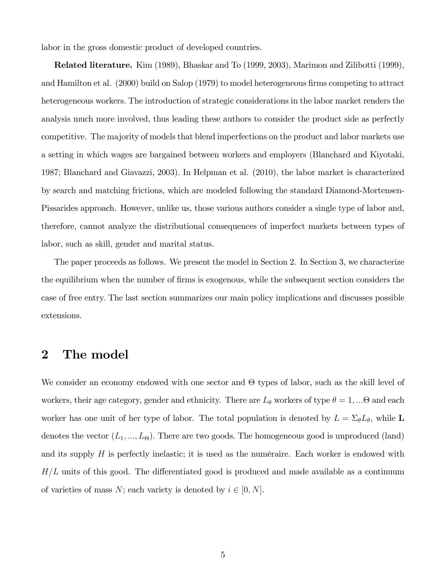labor in the gross domestic product of developed countries.

Related literature. Kim (1989), Bhaskar and To (1999, 2003), Marimon and Zilibotti (1999), and Hamilton et al. (2000) build on Salop (1979) to model heterogeneous firms competing to attract heterogeneous workers. The introduction of strategic considerations in the labor market renders the analysis much more involved, thus leading these authors to consider the product side as perfectly competitive. The majority of models that blend imperfections on the product and labor markets use a setting in which wages are bargained between workers and employers (Blanchard and Kiyotaki, 1987; Blanchard and Giavazzi, 2003). In Helpman et al. (2010), the labor market is characterized by search and matching frictions, which are modeled following the standard Diamond-Mortensen-Pissarides approach. However, unlike us, those various authors consider a single type of labor and, therefore, cannot analyze the distributional consequences of imperfect markets between types of labor, such as skill, gender and marital status.

The paper proceeds as follows. We present the model in Section 2. In Section 3, we characterize the equilibrium when the number of firms is exogenous, while the subsequent section considers the case of free entry. The last section summarizes our main policy implications and discusses possible extensions.

## 2 The model

We consider an economy endowed with one sector and  $\Theta$  types of labor, such as the skill level of workers, their age category, gender and ethnicity. There are  $L_{\theta}$  workers of type  $\theta = 1, ... \Theta$  and each worker has one unit of her type of labor. The total population is denoted by  $L = \Sigma_{\theta} L_{\theta}$ , while L denotes the vector  $(L_1, ..., L_{\Theta})$ . There are two goods. The homogeneous good is unproduced (land) and its supply  $H$  is perfectly inelastic; it is used as the numéraire. Each worker is endowed with  $H/L$  units of this good. The differentiated good is produced and made available as a continuum of varieties of mass N; each variety is denoted by  $i \in [0, N]$ .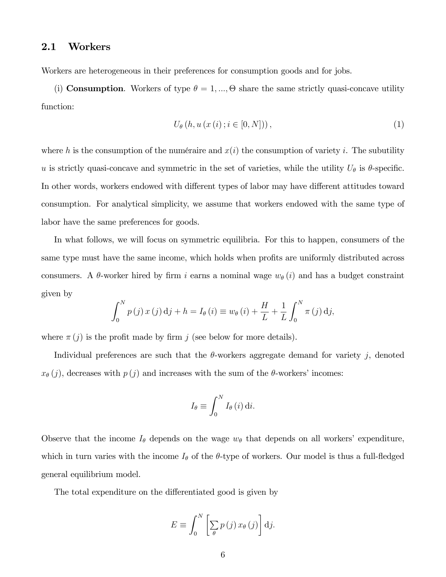#### 2.1 Workers

Workers are heterogeneous in their preferences for consumption goods and for jobs.

(i) **Consumption**. Workers of type  $\theta = 1, ..., \Theta$  share the same strictly quasi-concave utility function:

$$
U_{\theta}\left(h, u\left(x\left(i\right); i \in [0, N]\right)\right),\tag{1}
$$

where h is the consumption of the numéraire and  $x(i)$  the consumption of variety i. The subutility u is strictly quasi-concave and symmetric in the set of varieties, while the utility  $U_{\theta}$  is  $\theta$ -specific. In other words, workers endowed with different types of labor may have different attitudes toward consumption. For analytical simplicity, we assume that workers endowed with the same type of labor have the same preferences for goods.

In what follows, we will focus on symmetric equilibria. For this to happen, consumers of the same type must have the same income, which holds when profits are uniformly distributed across consumers. A  $\theta$ -worker hired by firm i earns a nominal wage  $w_{\theta}(i)$  and has a budget constraint given by

$$
\int_0^N p(j) x(j) \, \mathrm{d}j + h = I_\theta(i) \equiv w_\theta(i) + \frac{H}{L} + \frac{1}{L} \int_0^N \pi(j) \, \mathrm{d}j,
$$

where  $\pi(j)$  is the profit made by firm j (see below for more details).

Individual preferences are such that the  $\theta$ -workers aggregate demand for variety j, denoted  $x_{\theta}(j)$ , decreases with  $p(j)$  and increases with the sum of the  $\theta$ -workers' incomes:

$$
I_{\theta} \equiv \int_0^N I_{\theta}(i) \, \mathrm{d}i.
$$

Observe that the income  $I_{\theta}$  depends on the wage  $w_{\theta}$  that depends on all workers' expenditure, which in turn varies with the income  $I_{\theta}$  of the  $\theta$ -type of workers. Our model is thus a full-fledged general equilibrium model.

The total expenditure on the differentiated good is given by

$$
E \equiv \int_0^N \left[ \sum_{\theta} p(j) x_{\theta}(j) \right] \mathrm{d}j.
$$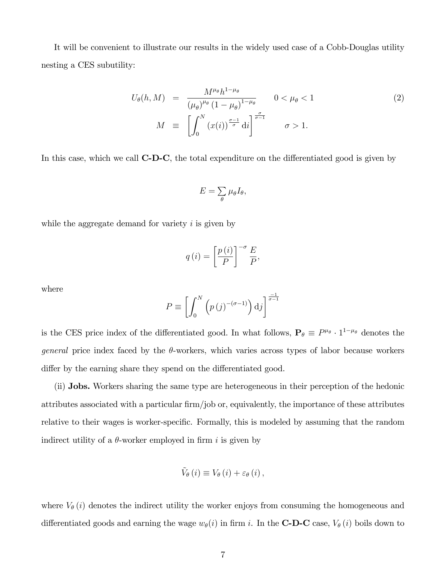It will be convenient to illustrate our results in the widely used case of a Cobb-Douglas utility nesting a CES subutility:

$$
U_{\theta}(h, M) = \frac{M^{\mu_{\theta}}h^{1-\mu_{\theta}}}{(\mu_{\theta})^{\mu_{\theta}}(1-\mu_{\theta})^{1-\mu_{\theta}}} \qquad 0 < \mu_{\theta} < 1
$$
  

$$
M \equiv \left[ \int_0^N (x(i))^{\frac{\sigma-1}{\sigma}} di \right]^{\frac{\sigma}{\sigma-1}} \qquad \sigma > 1.
$$
 (2)

In this case, which we call  $\mathbf{C}\text{-}\mathbf{D}\text{-}\mathbf{C}$ , the total expenditure on the differentiated good is given by

$$
E=\sum_{\theta}\mu_{\theta}I_{\theta},
$$

while the aggregate demand for variety  $i$  is given by

$$
q(i) = \left[\frac{p(i)}{P}\right]^{-\sigma} \frac{E}{P},
$$

where

$$
P \equiv \left[ \int_0^N \left( p(j)^{-(\sigma - 1)} \right) \mathrm{d}j \right]^{\frac{-1}{\sigma - 1}}
$$

is the CES price index of the differentiated good. In what follows,  $P_{\theta} \equiv P^{\mu_{\theta}} \cdot 1^{1-\mu_{\theta}}$  denotes the *general* price index faced by the  $\theta$ -workers, which varies across types of labor because workers differ by the earning share they spend on the differentiated good.

(ii) Jobs. Workers sharing the same type are heterogeneous in their perception of the hedonic attributes associated with a particular firm/job or, equivalently, the importance of these attributes relative to their wages is worker-specific. Formally, this is modeled by assuming that the random indirect utility of a  $\theta$ -worker employed in firm i is given by

$$
\tilde{V}_{\theta}(i) \equiv V_{\theta}(i) + \varepsilon_{\theta}(i),
$$

where  $V_{\theta}(i)$  denotes the indirect utility the worker enjoys from consuming the homogeneous and differentiated goods and earning the wage  $w_{\theta}(i)$  in firm i. In the **C-D-C** case,  $V_{\theta}(i)$  boils down to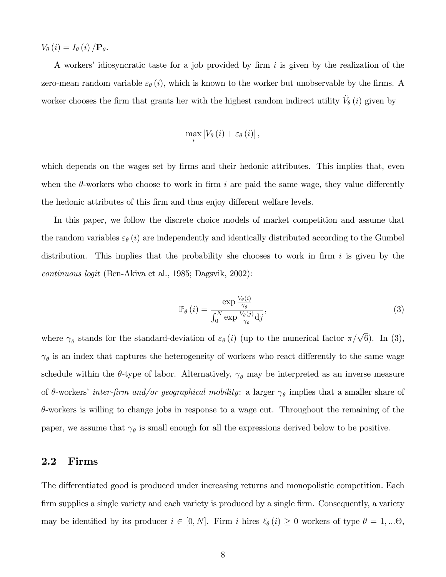$V_{\theta}(i) = I_{\theta}(i)/\mathbf{P}_{\theta}.$ 

A workers' idiosyncratic taste for a job provided by firm i is given by the realization of the zero-mean random variable  $\varepsilon_{\theta}(i)$ , which is known to the worker but unobservable by the firms. A worker chooses the firm that grants her with the highest random indirect utility  $\tilde{V}_{\theta}(i)$  given by

$$
\max_{i}\left[V_{\theta}\left(i\right)+\varepsilon_{\theta}\left(i\right)\right],
$$

which depends on the wages set by firms and their hedonic attributes. This implies that, even when the  $\theta$ -workers who choose to work in firm i are paid the same wage, they value differently the hedonic attributes of this firm and thus enjoy different welfare levels.

In this paper, we follow the discrete choice models of market competition and assume that the random variables  $\varepsilon_{\theta}(i)$  are independently and identically distributed according to the Gumbel distribution. This implies that the probability she chooses to work in firm  $i$  is given by the continuous logit (Ben-Akiva et al., 1985; Dagsvik, 2002):

$$
\mathbb{P}_{\theta}\left(i\right) = \frac{\exp\frac{V_{\theta}(i)}{\gamma_{\theta}}}{\int_{0}^{N} \exp\frac{V_{\theta}(j)}{\gamma_{\theta}}\mathrm{d}j},\tag{3}
$$

where  $\gamma_{\theta}$  stands for the standard-deviation of  $\varepsilon_{\theta}(i)$  (up to the numerical factor  $\pi/\sqrt{6}$ ). In (3),  $\gamma_{\theta}$  is an index that captures the heterogeneity of workers who react differently to the same wage schedule within the  $\theta$ -type of labor. Alternatively,  $\gamma_{\theta}$  may be interpreted as an inverse measure of  $\theta$ -workers' *inter-firm and/or geographical mobility*: a larger  $\gamma_{\theta}$  implies that a smaller share of  $\theta$ -workers is willing to change jobs in response to a wage cut. Throughout the remaining of the paper, we assume that  $\gamma_{\theta}$  is small enough for all the expressions derived below to be positive.

#### 2.2 Firms

The differentiated good is produced under increasing returns and monopolistic competition. Each firm supplies a single variety and each variety is produced by a single firm. Consequently, a variety may be identified by its producer  $i \in [0, N]$ . Firm i hires  $\ell_{\theta}(i) \geq 0$  workers of type  $\theta = 1, ... \Theta$ ,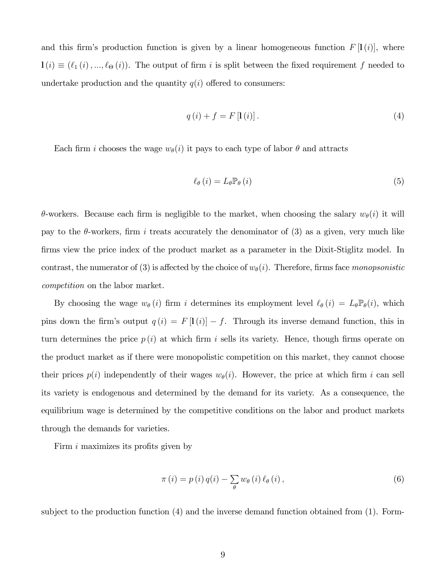and this firm's production function is given by a linear homogeneous function  $F[\mathbf{l}(i)]$ , where  $\mathbf{l}(i) \equiv (\ell_1(i), ..., \ell_{\Theta}(i))$ . The output of firm i is split between the fixed requirement f needed to undertake production and the quantity  $q(i)$  offered to consumers:

$$
q(i) + f = F\left[1(i)\right].\tag{4}
$$

Each firm i chooses the wage  $w_{\theta}(i)$  it pays to each type of labor  $\theta$  and attracts

$$
\ell_{\theta}(i) = L_{\theta} \mathbb{P}_{\theta}(i) \tag{5}
$$

 $\theta$ -workers. Because each firm is negligible to the market, when choosing the salary  $w_{\theta}(i)$  it will pay to the  $\theta$ -workers, firm i treats accurately the denominator of (3) as a given, very much like firms view the price index of the product market as a parameter in the Dixit-Stiglitz model. In contrast, the numerator of (3) is affected by the choice of  $w_{\theta}(i)$ . Therefore, firms face monopsonistic competition on the labor market.

By choosing the wage  $w_{\theta}(i)$  firm i determines its employment level  $\ell_{\theta}(i) = L_{\theta} \mathbb{P}_{\theta}(i)$ , which pins down the firm's output  $q(i) = F[I(i)] - f$ . Through its inverse demand function, this in turn determines the price  $p(i)$  at which firm i sells its variety. Hence, though firms operate on the product market as if there were monopolistic competition on this market, they cannot choose their prices  $p(i)$  independently of their wages  $w_{\theta}(i)$ . However, the price at which firm i can sell its variety is endogenous and determined by the demand for its variety. As a consequence, the equilibrium wage is determined by the competitive conditions on the labor and product markets through the demands for varieties.

Firm  $i$  maximizes its profits given by

$$
\pi(i) = p(i) q(i) - \sum_{\theta} w_{\theta}(i) \ell_{\theta}(i), \qquad (6)
$$

subject to the production function (4) and the inverse demand function obtained from (1). Form-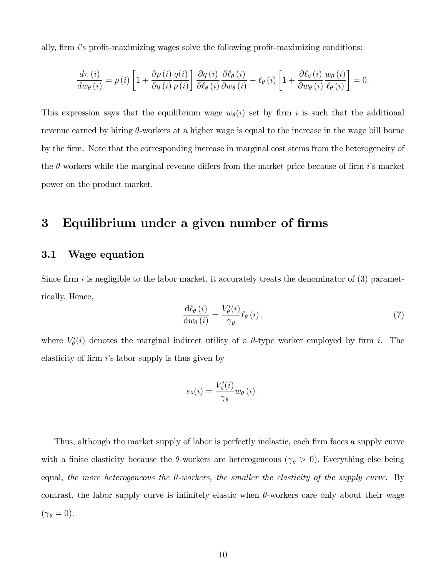ally, firm  $i$ 's profit-maximizing wages solve the following profit-maximizing conditions:

$$
\frac{d\pi(i)}{dw_{\theta}(i)} = p(i)\left[1 + \frac{\partial p(i)}{\partial q(i)}\frac{q(i)}{p(i)}\right]\frac{\partial q(i)}{\partial \ell_{\theta}(i)}\frac{\partial \ell_{\theta}(i)}{\partial w_{\theta}(i)} - \ell_{\theta}(i)\left[1 + \frac{\partial \ell_{\theta}(i)}{\partial w_{\theta}(i)}\frac{w_{\theta}(i)}{\ell_{\theta}(i)}\right] = 0.
$$

This expression says that the equilibrium wage  $w_{\theta}(i)$  set by firm i is such that the additional revenue earned by hiring  $\theta$ -workers at a higher wage is equal to the increase in the wage bill borne by the Örm. Note that the corresponding increase in marginal cost stems from the heterogeneity of the  $\theta$ -workers while the marginal revenue differs from the market price because of firm i's market power on the product market.

## 3 Equilibrium under a given number of firms

#### 3.1 Wage equation

Since firm i is negligible to the labor market, it accurately treats the denominator of  $(3)$  parametrically. Hence,

$$
\frac{\mathrm{d}\ell_{\theta}\left(i\right)}{\mathrm{d}w_{\theta}\left(i\right)} = \frac{V'_{\theta}\left(i\right)}{\gamma_{\theta}} \ell_{\theta}\left(i\right),\tag{7}
$$

where  $V'_{\theta}(i)$  denotes the marginal indirect utility of a  $\theta$ -type worker employed by firm i. The elasticity of firm  $i$ 's labor supply is thus given by

$$
e_{\theta}(i) = \frac{V_{\theta}'(i)}{\gamma_{\theta}} w_{\theta}(i).
$$

Thus, although the market supply of labor is perfectly inelastic, each firm faces a supply curve with a finite elasticity because the  $\theta$ -workers are heterogeneous ( $\gamma_{\theta} > 0$ ). Everything else being equal, the more heterogeneous the  $\theta$ -workers, the smaller the elasticity of the supply curve. By contrast, the labor supply curve is infinitely elastic when  $\theta$ -workers care only about their wage  $(\gamma_{\theta}=0).$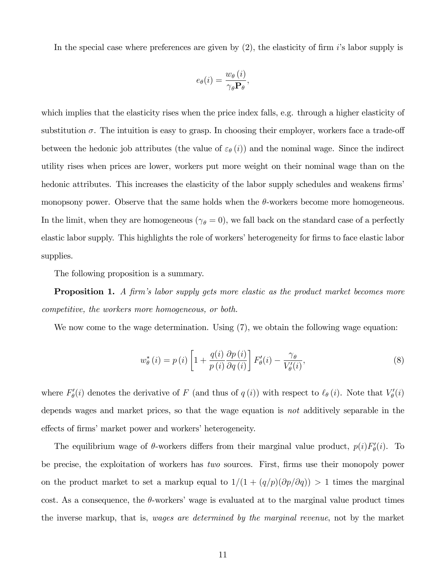In the special case where preferences are given by  $(2)$ , the elasticity of firm is labor supply is

$$
e_{\theta}(i) = \frac{w_{\theta}(i)}{\gamma_{\theta} \mathbf{P}_{\theta}},
$$

which implies that the elasticity rises when the price index falls, e.g. through a higher elasticity of substitution  $\sigma$ . The intuition is easy to grasp. In choosing their employer, workers face a trade-off between the hedonic job attributes (the value of  $\varepsilon_{\theta}(i)$ ) and the nominal wage. Since the indirect utility rises when prices are lower, workers put more weight on their nominal wage than on the hedonic attributes. This increases the elasticity of the labor supply schedules and weakens firms monopsony power. Observe that the same holds when the  $\theta$ -workers become more homogeneous. In the limit, when they are homogeneous ( $\gamma_{\theta} = 0$ ), we fall back on the standard case of a perfectly elastic labor supply. This highlights the role of workers' heterogeneity for firms to face elastic labor supplies.

The following proposition is a summary.

**Proposition 1.** A firm's labor supply gets more elastic as the product market becomes more competitive, the workers more homogeneous, or both.

We now come to the wage determination. Using  $(7)$ , we obtain the following wage equation:

$$
w_{\theta}^{*}(i) = p(i) \left[ 1 + \frac{q(i)}{p(i)} \frac{\partial p(i)}{\partial q(i)} \right] F'_{\theta}(i) - \frac{\gamma_{\theta}}{V'_{\theta}(i)},
$$
\n(8)

where  $F'_{\theta}(i)$  denotes the derivative of F (and thus of  $q(i)$ ) with respect to  $\ell_{\theta}(i)$ . Note that  $V'_{\theta}(i)$ depends wages and market prices, so that the wage equation is not additively separable in the effects of firms' market power and workers' heterogeneity.

The equilibrium wage of  $\theta$ -workers differs from their marginal value product,  $p(i)F'_{\theta}(i)$ . To be precise, the exploitation of workers has *two* sources. First, firms use their monopoly power on the product market to set a markup equal to  $1/(1 + (q/p)(\partial p/\partial q)) > 1$  times the marginal cost. As a consequence, the  $\theta$ -workers' wage is evaluated at to the marginal value product times the inverse markup, that is, wages are determined by the marginal revenue, not by the market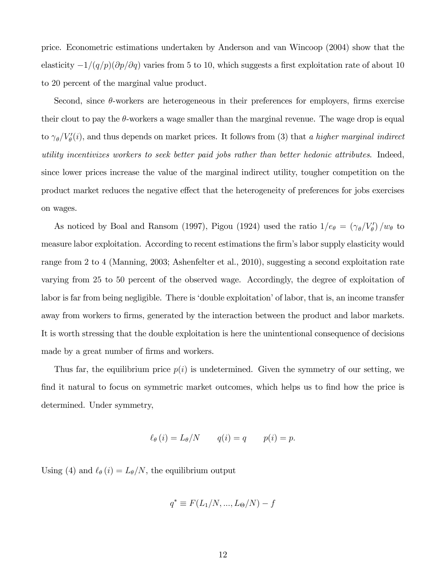price. Econometric estimations undertaken by Anderson and van Wincoop (2004) show that the elasticity  $-1/(q/p)(\partial p/\partial q)$  varies from 5 to 10, which suggests a first exploitation rate of about 10 to 20 percent of the marginal value product.

Second, since  $\theta$ -workers are heterogeneous in their preferences for employers, firms exercise their clout to pay the  $\theta$ -workers a wage smaller than the marginal revenue. The wage drop is equal to  $\gamma_{\theta}/V_{\theta}'(i)$ , and thus depends on market prices. It follows from (3) that a higher marginal indirect utility incentivizes workers to seek better paid jobs rather than better hedonic attributes. Indeed, since lower prices increase the value of the marginal indirect utility, tougher competition on the product market reduces the negative effect that the heterogeneity of preferences for jobs exercises on wages.

As noticed by Boal and Ransom (1997), Pigou (1924) used the ratio  $1/e_{\theta} = (\gamma_{\theta}/V_{\theta}')/w_{\theta}$  to measure labor exploitation. According to recent estimations the firm's labor supply elasticity would range from 2 to 4 (Manning, 2003; Ashenfelter et al., 2010), suggesting a second exploitation rate varying from 25 to 50 percent of the observed wage. Accordingly, the degree of exploitation of labor is far from being negligible. There is 'double exploitation' of labor, that is, an income transfer away from workers to firms, generated by the interaction between the product and labor markets. It is worth stressing that the double exploitation is here the unintentional consequence of decisions made by a great number of firms and workers.

Thus far, the equilibrium price  $p(i)$  is undetermined. Given the symmetry of our setting, we find it natural to focus on symmetric market outcomes, which helps us to find how the price is determined. Under symmetry,

$$
\ell_{\theta}(i) = L_{\theta}/N \qquad q(i) = q \qquad p(i) = p.
$$

Using (4) and  $\ell_{\theta}(i) = L_{\theta}/N$ , the equilibrium output

$$
q^* \equiv F(L_1/N, ..., L_{\Theta}/N) - f
$$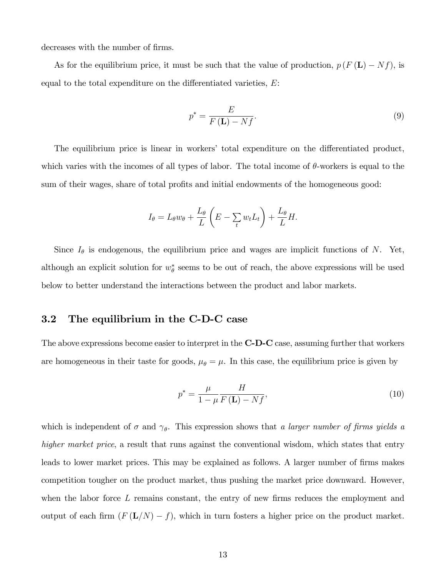decreases with the number of firms.

As for the equilibrium price, it must be such that the value of production,  $p(F(L) - Nf)$ , is equal to the total expenditure on the differentiated varieties,  $E$ :

$$
p^* = \frac{E}{F(\mathbf{L}) - Nf}.\tag{9}
$$

The equilibrium price is linear in workers' total expenditure on the differentiated product, which varies with the incomes of all types of labor. The total income of  $\theta$ -workers is equal to the sum of their wages, share of total profits and initial endowments of the homogeneous good:

$$
I_{\theta} = L_{\theta} w_{\theta} + \frac{L_{\theta}}{L} \left( E - \sum_{t} w_{t} L_{t} \right) + \frac{L_{\theta}}{L} H.
$$

Since  $I_{\theta}$  is endogenous, the equilibrium price and wages are implicit functions of N. Yet, although an explicit solution for  $w_{\theta}^*$  seems to be out of reach, the above expressions will be used below to better understand the interactions between the product and labor markets.

#### 3.2 The equilibrium in the C-D-C case

The above expressions become easier to interpret in the **C-D-C** case, assuming further that workers are homogeneous in their taste for goods,  $\mu_{\theta} = \mu$ . In this case, the equilibrium price is given by

$$
p^* = \frac{\mu}{1 - \mu} \frac{H}{F(\mathbf{L}) - Nf},\tag{10}
$$

which is independent of  $\sigma$  and  $\gamma_{\theta}$ . This expression shows that a larger number of firms yields a higher market price, a result that runs against the conventional wisdom, which states that entry leads to lower market prices. This may be explained as follows. A larger number of firms makes competition tougher on the product market, thus pushing the market price downward. However, when the labor force  $L$  remains constant, the entry of new firms reduces the employment and output of each firm  $(F(L/N) - f)$ , which in turn fosters a higher price on the product market.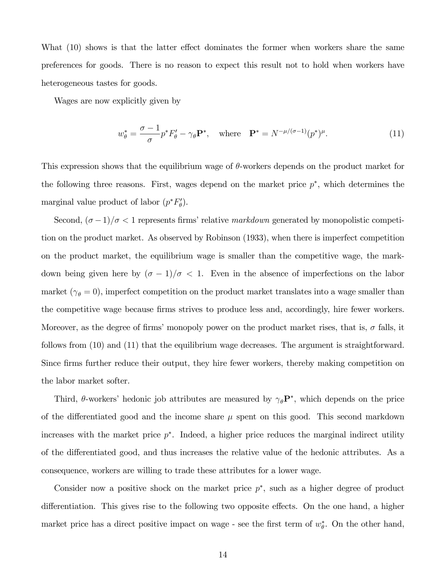What  $(10)$  shows is that the latter effect dominates the former when workers share the same preferences for goods. There is no reason to expect this result not to hold when workers have heterogeneous tastes for goods.

Wages are now explicitly given by

$$
w_{\theta}^* = \frac{\sigma - 1}{\sigma} p^* F_{\theta}' - \gamma_{\theta} \mathbf{P}^*, \quad \text{where} \quad \mathbf{P}^* = N^{-\mu/(\sigma - 1)} (p^*)^{\mu}.
$$
 (11)

This expression shows that the equilibrium wage of  $\theta$ -workers depends on the product market for the following three reasons. First, wages depend on the market price  $p^*$ , which determines the marginal value product of labor  $(p^*F'_\theta)$ .

Second,  $(\sigma - 1)/\sigma < 1$  represents firms' relative markdown generated by monopolistic competition on the product market. As observed by Robinson (1933), when there is imperfect competition on the product market, the equilibrium wage is smaller than the competitive wage, the markdown being given here by  $(\sigma - 1)/\sigma < 1$ . Even in the absence of imperfections on the labor market ( $\gamma_{\theta} = 0$ ), imperfect competition on the product market translates into a wage smaller than the competitive wage because firms strives to produce less and, accordingly, hire fewer workers. Moreover, as the degree of firms' monopoly power on the product market rises, that is,  $\sigma$  falls, it follows from (10) and (11) that the equilibrium wage decreases. The argument is straightforward. Since firms further reduce their output, they hire fewer workers, thereby making competition on the labor market softer.

Third,  $\theta$ -workers' hedonic job attributes are measured by  $\gamma_{\theta}P^*$ , which depends on the price of the differentiated good and the income share  $\mu$  spent on this good. This second markdown increases with the market price  $p^*$ . Indeed, a higher price reduces the marginal indirect utility of the differentiated good, and thus increases the relative value of the hedonic attributes. As a consequence, workers are willing to trade these attributes for a lower wage.

Consider now a positive shock on the market price  $p^*$ , such as a higher degree of product differentiation. This gives rise to the following two opposite effects. On the one hand, a higher market price has a direct positive impact on wage - see the first term of  $w_{\theta}^*$ . On the other hand,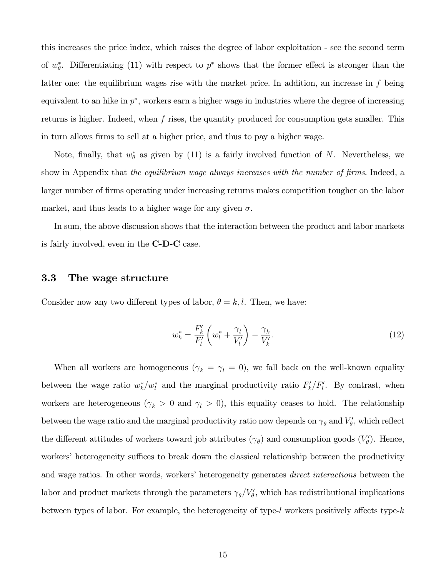this increases the price index, which raises the degree of labor exploitation - see the second term of  $w_{\theta}^*$ . Differentiating (11) with respect to  $p^*$  shows that the former effect is stronger than the latter one: the equilibrium wages rise with the market price. In addition, an increase in  $f$  being equivalent to an hike in  $p^*$ , workers earn a higher wage in industries where the degree of increasing returns is higher. Indeed, when  $f$  rises, the quantity produced for consumption gets smaller. This in turn allows Örms to sell at a higher price, and thus to pay a higher wage.

Note, finally, that  $w_{\theta}^*$  as given by (11) is a fairly involved function of N. Nevertheless, we show in Appendix that the equilibrium wage always increases with the number of firms. Indeed, a larger number of firms operating under increasing returns makes competition tougher on the labor market, and thus leads to a higher wage for any given  $\sigma$ .

In sum, the above discussion shows that the interaction between the product and labor markets is fairly involved, even in the C-D-C case.

#### 3.3 The wage structure

Consider now any two different types of labor,  $\theta = k, l$ . Then, we have:

$$
w_k^* = \frac{F'_k}{F'_l} \left( w_l^* + \frac{\gamma_l}{V'_l} \right) - \frac{\gamma_k}{V'_k}.
$$
 (12)

When all workers are homogeneous ( $\gamma_k = \gamma_l = 0$ ), we fall back on the well-known equality between the wage ratio  $w_k^*/w_l^*$  and the marginal productivity ratio  $F_k'/F_l'$ . By contrast, when workers are heterogeneous ( $\gamma_k > 0$  and  $\gamma_l > 0$ ), this equality ceases to hold. The relationship between the wage ratio and the marginal productivity ratio now depends on  $\gamma_{\theta}$  and  $V'_{\theta}$ , which reflect the different attitudes of workers toward job attributes  $(\gamma_{\theta})$  and consumption goods  $(V_{\theta}')$ . Hence, workers' heterogeneity suffices to break down the classical relationship between the productivity and wage ratios. In other words, workers' heterogeneity generates *direct interactions* between the labor and product markets through the parameters  $\gamma_{\theta}/V_{\theta}'$ , which has redistributional implications between types of labor. For example, the heterogeneity of type-l workers positively affects type- $k$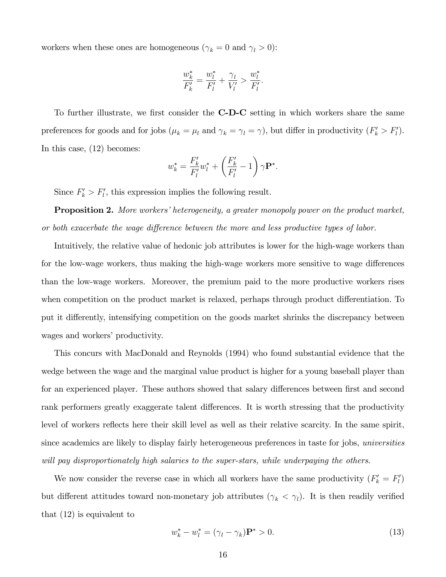workers when these ones are homogeneous ( $\gamma_k = 0$  and  $\gamma_l > 0$ ):

$$
\frac{w_k^*}{F_k'} = \frac{w_l^*}{F_l'} + \frac{\gamma_l}{V_l'} > \frac{w_l^*}{F_l'}.
$$

To further illustrate, we first consider the **C-D-C** setting in which workers share the same preferences for goods and for jobs  $(\mu_k = \mu_l \text{ and } \gamma_k = \gamma_l = \gamma)$ , but differ in productivity  $(F'_k > F'_l)$ . In this case, (12) becomes:

$$
w_k^* = \frac{F'_k}{F'_l} w_l^* + \left(\frac{F'_k}{F'_l} - 1\right) \gamma \mathbf{P}^*.
$$

Since  $F'_k > F'_l$ , this expression implies the following result.

**Proposition 2.** More workers' heterogeneity, a greater monopoly power on the product market, or both exacerbate the wage difference between the more and less productive types of labor.

Intuitively, the relative value of hedonic job attributes is lower for the high-wage workers than for the low-wage workers, thus making the high-wage workers more sensitive to wage differences than the low-wage workers. Moreover, the premium paid to the more productive workers rises when competition on the product market is relaxed, perhaps through product differentiation. To put it differently, intensifying competition on the goods market shrinks the discrepancy between wages and workers' productivity.

This concurs with MacDonald and Reynolds (1994) who found substantial evidence that the wedge between the wage and the marginal value product is higher for a young baseball player than for an experienced player. These authors showed that salary differences between first and second rank performers greatly exaggerate talent differences. It is worth stressing that the productivity level of workers reflects here their skill level as well as their relative scarcity. In the same spirit, since academics are likely to display fairly heterogeneous preferences in taste for jobs, universities will pay disproportionately high salaries to the super-stars, while underpaying the others.

We now consider the reverse case in which all workers have the same productivity  $(F'_k = F'_l)$ but different attitudes toward non-monetary job attributes  $(\gamma_k < \gamma_l)$ . It is then readily verified that (12) is equivalent to

$$
w_k^* - w_l^* = (\gamma_l - \gamma_k)\mathbf{P}^* > 0.
$$
\n
$$
(13)
$$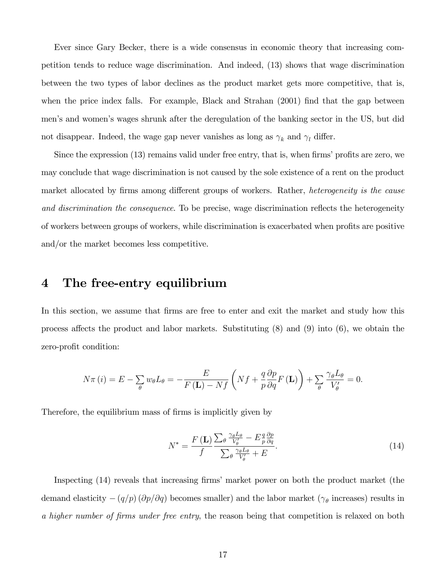Ever since Gary Becker, there is a wide consensus in economic theory that increasing competition tends to reduce wage discrimination. And indeed, (13) shows that wage discrimination between the two types of labor declines as the product market gets more competitive, that is, when the price index falls. For example, Black and Strahan  $(2001)$  find that the gap between menís and womenís wages shrunk after the deregulation of the banking sector in the US, but did not disappear. Indeed, the wage gap never vanishes as long as  $\gamma_k$  and  $\gamma_l$  differ.

Since the expression  $(13)$  remains valid under free entry, that is, when firms' profits are zero, we may conclude that wage discrimination is not caused by the sole existence of a rent on the product market allocated by firms among different groups of workers. Rather, *heterogeneity is the cause* and discrimination the consequence. To be precise, wage discrimination reflects the heterogeneity of workers between groups of workers, while discrimination is exacerbated when profits are positive and/or the market becomes less competitive.

### 4 The free-entry equilibrium

In this section, we assume that firms are free to enter and exit the market and study how this process affects the product and labor markets. Substituting  $(8)$  and  $(9)$  into  $(6)$ , we obtain the zero-profit condition:

$$
N\pi(i) = E - \sum_{\theta} w_{\theta} L_{\theta} = -\frac{E}{F(\mathbf{L}) - Nf} \left( Nf + \frac{q}{p} \frac{\partial p}{\partial q} F(\mathbf{L}) \right) + \sum_{\theta} \frac{\gamma_{\theta} L_{\theta}}{V_{\theta}'} = 0.
$$

Therefore, the equilibrium mass of firms is implicitly given by

$$
N^* = \frac{F(\mathbf{L})}{f} \frac{\sum_{\theta} \frac{\gamma_{\theta} L_{\theta}}{V_{\theta}'} - E \frac{q}{p} \frac{\partial p}{\partial q}}{\sum_{\theta} \frac{\gamma_{\theta} L_{\theta}}{V_{\theta}'} + E}.
$$
(14)

Inspecting (14) reveals that increasing firms' market power on both the product market (the demand elasticity  $-(q/p)(\partial p/\partial q)$  becomes smaller) and the labor market ( $\gamma_{\theta}$  increases) results in a higher number of firms under free entry, the reason being that competition is relaxed on both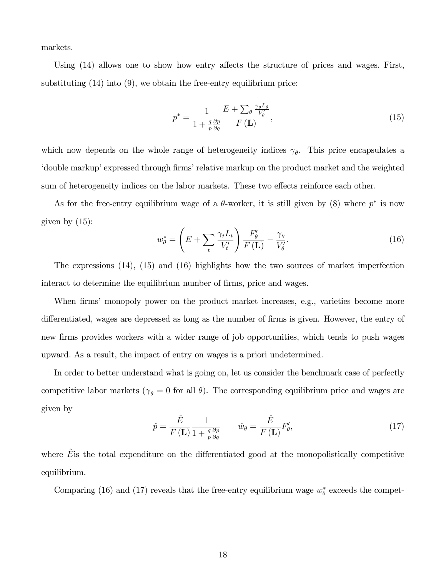markets.

Using  $(14)$  allows one to show how entry affects the structure of prices and wages. First, substituting  $(14)$  into  $(9)$ , we obtain the free-entry equilibrium price:

$$
p^* = \frac{1}{1 + \frac{q}{p} \frac{\partial p}{\partial q}} \frac{E + \sum_{\theta} \frac{\gamma_{\theta} L_{\theta}}{V_{\theta}'} }{F(\mathbf{L})},\tag{15}
$$

which now depends on the whole range of heterogeneity indices  $\gamma_{\theta}$ . This price encapsulates a 'double markup' expressed through firms' relative markup on the product market and the weighted sum of heterogeneity indices on the labor markets. These two effects reinforce each other.

As for the free-entry equilibrium wage of a  $\theta$ -worker, it is still given by (8) where  $p^*$  is now given by  $(15)$ :

$$
w_{\theta}^* = \left( E + \sum_t \frac{\gamma_t L_t}{V_t'} \right) \frac{F_{\theta}'}{F(\mathbf{L})} - \frac{\gamma_{\theta}}{V_{\theta}'}.
$$
 (16)

The expressions (14), (15) and (16) highlights how the two sources of market imperfection interact to determine the equilibrium number of firms, price and wages.

When firms' monopoly power on the product market increases, e.g., varieties become more differentiated, wages are depressed as long as the number of firms is given. However, the entry of new Örms provides workers with a wider range of job opportunities, which tends to push wages upward. As a result, the impact of entry on wages is a priori undetermined.

In order to better understand what is going on, let us consider the benchmark case of perfectly competitive labor markets ( $\gamma_{\theta} = 0$  for all  $\theta$ ). The corresponding equilibrium price and wages are given by

$$
\hat{p} = \frac{\hat{E}}{F(\mathbf{L})} \frac{1}{1 + \frac{q}{p} \frac{\partial p}{\partial q}} \qquad \hat{w}_{\theta} = \frac{\hat{E}}{F(\mathbf{L})} F'_{\theta},\tag{17}
$$

where  $\overline{E}$  is the total expenditure on the differentiated good at the monopolistically competitive equilibrium.

Comparing (16) and (17) reveals that the free-entry equilibrium wage  $w_{\theta}^*$  exceeds the compet-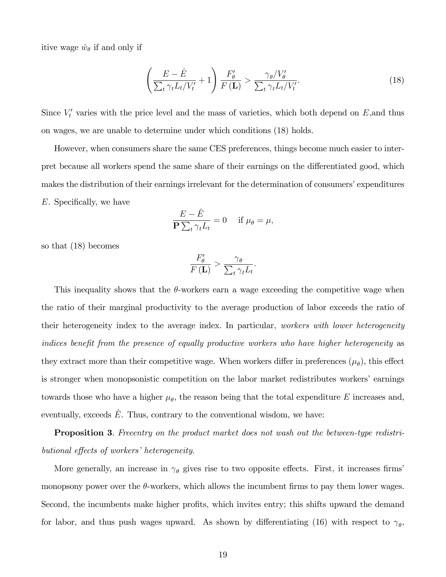itive wage  $\hat{w}_{\theta}$  if and only if

$$
\left(\frac{E-\hat{E}}{\sum_{t}\gamma_{t}L_{t}/V_{t}'}+1\right)\frac{F_{\theta}'}{F(\mathbf{L})}>\frac{\gamma_{\theta}/V_{\theta}'}{\sum_{t}\gamma_{t}L_{t}/V_{t}'}.
$$
\n(18)

Since  $V_t'$  varies with the price level and the mass of varieties, which both depend on  $E$ , and thus on wages, we are unable to determine under which conditions (18) holds.

However, when consumers share the same CES preferences, things become much easier to interpret because all workers spend the same share of their earnings on the differentiated good, which makes the distribution of their earnings irrelevant for the determination of consumers' expenditures  $E.$  Specifically, we have

$$
\frac{E - \hat{E}}{\mathbf{P} \sum_{t} \gamma_t L_t} = 0 \quad \text{if } \mu_{\theta} = \mu,
$$

so that (18) becomes

$$
\frac{F_{\theta}'}{F(\mathbf{L})} > \frac{\gamma_{\theta}}{\sum_{t} \gamma_{t} L_{t}}.
$$

This inequality shows that the  $\theta$ -workers earn a wage exceeding the competitive wage when the ratio of their marginal productivity to the average production of labor exceeds the ratio of their heterogeneity index to the average index. In particular, workers with lower heterogeneity indices benefit from the presence of equally productive workers who have higher heterogeneity as they extract more than their competitive wage. When workers differ in preferences  $(\mu_{\theta})$ , this effect is stronger when monopsonistic competition on the labor market redistributes workers' earnings towards those who have a higher  $\mu_{\theta}$ , the reason being that the total expenditure E increases and, eventually, exceeds  $\hat{E}$ . Thus, contrary to the conventional wisdom, we have:

Proposition 3. Freeentry on the product market does not wash out the between-type redistributional effects of workers' heterogeneity.

More generally, an increase in  $\gamma_{\theta}$  gives rise to two opposite effects. First, it increases firms monopsony power over the  $\theta$ -workers, which allows the incumbent firms to pay them lower wages. Second, the incumbents make higher profits, which invites entry; this shifts upward the demand for labor, and thus push wages upward. As shown by differentiating (16) with respect to  $\gamma_{\theta}$ ,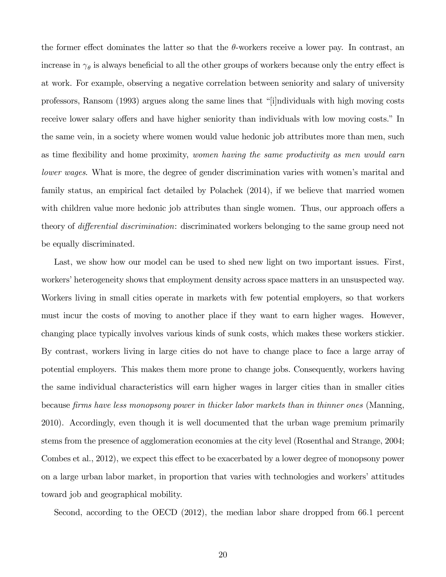the former effect dominates the latter so that the  $\theta$ -workers receive a lower pay. In contrast, an increase in  $\gamma_{\theta}$  is always beneficial to all the other groups of workers because only the entry effect is at work. For example, observing a negative correlation between seniority and salary of university professors, Ransom (1993) argues along the same lines that "i[individuals with high moving costs receive lower salary offers and have higher seniority than individuals with low moving costs." In the same vein, in a society where women would value hedonic job attributes more than men, such as time flexibility and home proximity, women having the same productivity as men would earn lower wages. What is more, the degree of gender discrimination varies with women's marital and family status, an empirical fact detailed by Polachek (2014), if we believe that married women with children value more hedonic job attributes than single women. Thus, our approach offers a theory of *differential discrimination*: discriminated workers belonging to the same group need not be equally discriminated.

Last, we show how our model can be used to shed new light on two important issues. First, workers' heterogeneity shows that employment density across space matters in an unsuspected way. Workers living in small cities operate in markets with few potential employers, so that workers must incur the costs of moving to another place if they want to earn higher wages. However, changing place typically involves various kinds of sunk costs, which makes these workers stickier. By contrast, workers living in large cities do not have to change place to face a large array of potential employers. This makes them more prone to change jobs. Consequently, workers having the same individual characteristics will earn higher wages in larger cities than in smaller cities because firms have less monopsony power in thicker labor markets than in thinner ones (Manning, 2010). Accordingly, even though it is well documented that the urban wage premium primarily stems from the presence of agglomeration economies at the city level (Rosenthal and Strange, 2004; Combes et al., 2012), we expect this effect to be exacerbated by a lower degree of monopsony power on a large urban labor market, in proportion that varies with technologies and workers' attitudes toward job and geographical mobility.

Second, according to the OECD (2012), the median labor share dropped from 66.1 percent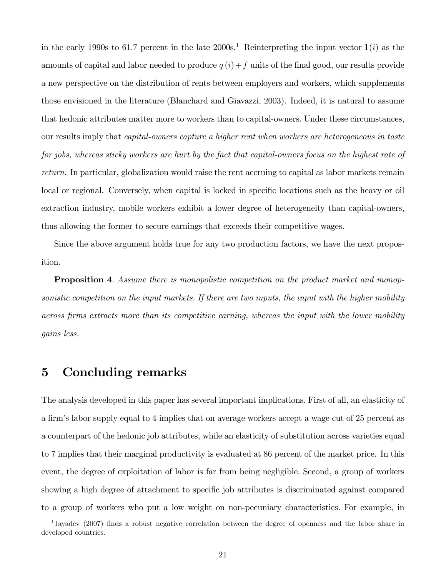in the early 1990s to 61.7 percent in the late  $2000s<sup>1</sup>$ . Reinterpreting the input vector  $l(i)$  as the amounts of capital and labor needed to produce  $q(i) + f$  units of the final good, our results provide a new perspective on the distribution of rents between employers and workers, which supplements those envisioned in the literature (Blanchard and Giavazzi, 2003). Indeed, it is natural to assume that hedonic attributes matter more to workers than to capital-owners. Under these circumstances, our results imply that capital-owners capture a higher rent when workers are heterogeneous in taste for jobs, whereas sticky workers are hurt by the fact that capital-owners focus on the highest rate of return. In particular, globalization would raise the rent accruing to capital as labor markets remain local or regional. Conversely, when capital is locked in specific locations such as the heavy or oil extraction industry, mobile workers exhibit a lower degree of heterogeneity than capital-owners, thus allowing the former to secure earnings that exceeds their competitive wages.

Since the above argument holds true for any two production factors, we have the next proposition.

**Proposition 4.** Assume there is monopolistic competition on the product market and monopsonistic competition on the input markets. If there are two inputs, the input with the higher mobility across firms extracts more than its competitive earning, whereas the input with the lower mobility gains less.

## 5 Concluding remarks

The analysis developed in this paper has several important implications. First of all, an elasticity of a firm's labor supply equal to 4 implies that on average workers accept a wage cut of 25 percent as a counterpart of the hedonic job attributes, while an elasticity of substitution across varieties equal to 7 implies that their marginal productivity is evaluated at 86 percent of the market price. In this event, the degree of exploitation of labor is far from being negligible. Second, a group of workers showing a high degree of attachment to specific job attributes is discriminated against compared to a group of workers who put a low weight on non-pecuniary characteristics. For example, in

<sup>1</sup>Jayadev (2007) Önds a robust negative correlation between the degree of openness and the labor share in developed countries.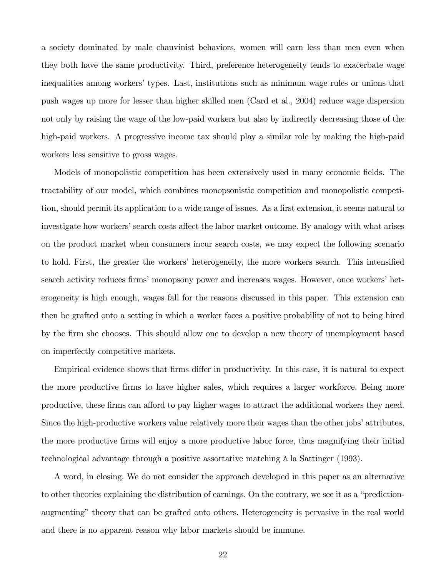a society dominated by male chauvinist behaviors, women will earn less than men even when they both have the same productivity. Third, preference heterogeneity tends to exacerbate wage inequalities among workers' types. Last, institutions such as minimum wage rules or unions that push wages up more for lesser than higher skilled men (Card et al., 2004) reduce wage dispersion not only by raising the wage of the low-paid workers but also by indirectly decreasing those of the high-paid workers. A progressive income tax should play a similar role by making the high-paid workers less sensitive to gross wages.

Models of monopolistic competition has been extensively used in many economic fields. The tractability of our model, which combines monopsonistic competition and monopolistic competition, should permit its application to a wide range of issues. As a first extension, it seems natural to investigate how workers' search costs affect the labor market outcome. By analogy with what arises on the product market when consumers incur search costs, we may expect the following scenario to hold. First, the greater the workers' heterogeneity, the more workers search. This intensified search activity reduces firms' monopsony power and increases wages. However, once workers' heterogeneity is high enough, wages fall for the reasons discussed in this paper. This extension can then be grafted onto a setting in which a worker faces a positive probability of not to being hired by the Örm she chooses. This should allow one to develop a new theory of unemployment based on imperfectly competitive markets.

Empirical evidence shows that firms differ in productivity. In this case, it is natural to expect the more productive Örms to have higher sales, which requires a larger workforce. Being more productive, these firms can afford to pay higher wages to attract the additional workers they need. Since the high-productive workers value relatively more their wages than the other jobs' attributes, the more productive Örms will enjoy a more productive labor force, thus magnifying their initial technological advantage through a positive assortative matching à la Sattinger (1993).

A word, in closing. We do not consider the approach developed in this paper as an alternative to other theories explaining the distribution of earnings. On the contrary, we see it as a "predictionaugmentingî theory that can be grafted onto others. Heterogeneity is pervasive in the real world and there is no apparent reason why labor markets should be immune.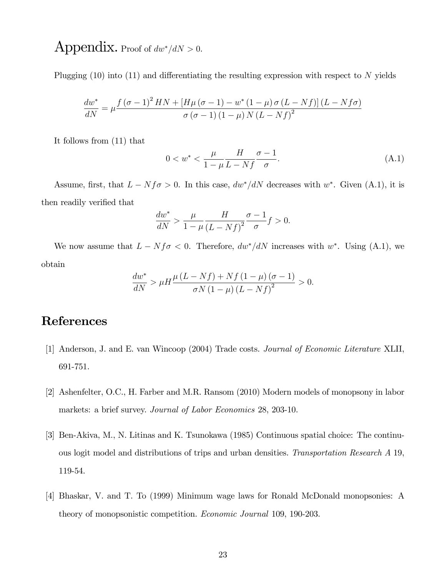## Appendix. Proof of  $dw^*/dN > 0$ .

Plugging  $(10)$  into  $(11)$  and differentiating the resulting expression with respect to N yields

$$
\frac{dw^*}{dN} = \mu \frac{f(\sigma - 1)^2 HN + [H\mu(\sigma - 1) - w^* (1 - \mu) \sigma (L - Nf)] (L - Nf\sigma)}{\sigma (\sigma - 1) (1 - \mu) N (L - Nf)^2}
$$

It follows from (11) that

$$
0 < w^* < \frac{\mu}{1 - \mu} \frac{H}{L - Nf} \frac{\sigma - 1}{\sigma}.\tag{A.1}
$$

Assume, first, that  $L - Nf\sigma > 0$ . In this case,  $dw^*/dN$  decreases with  $w^*$ . Given (A.1), it is then readily verified that

$$
\frac{dw^*}{dN} > \frac{\mu}{1-\mu} \frac{H}{(L-Nf)^2} \frac{\sigma-1}{\sigma} f > 0.
$$

We now assume that  $L - Nf\sigma < 0$ . Therefore,  $dw^*/dN$  increases with  $w^*$ . Using (A.1), we obtain

$$
\frac{dw^*}{dN} > \mu H \frac{\mu (L - Nf) + Nf (1 - \mu) (\sigma - 1)}{\sigma N (1 - \mu) (L - Nf)^2} > 0.
$$

## References

- [1] Anderson, J. and E. van Wincoop (2004) Trade costs. Journal of Economic Literature XLII, 691-751.
- [2] Ashenfelter, O.C., H. Farber and M.R. Ransom (2010) Modern models of monopsony in labor markets: a brief survey. Journal of Labor Economics 28, 203-10.
- [3] Ben-Akiva, M., N. Litinas and K. Tsunokawa (1985) Continuous spatial choice: The continuous logit model and distributions of trips and urban densities. Transportation Research A 19, 119-54.
- [4] Bhaskar, V. and T. To (1999) Minimum wage laws for Ronald McDonald monopsonies: A theory of monopsonistic competition. Economic Journal 109, 190-203.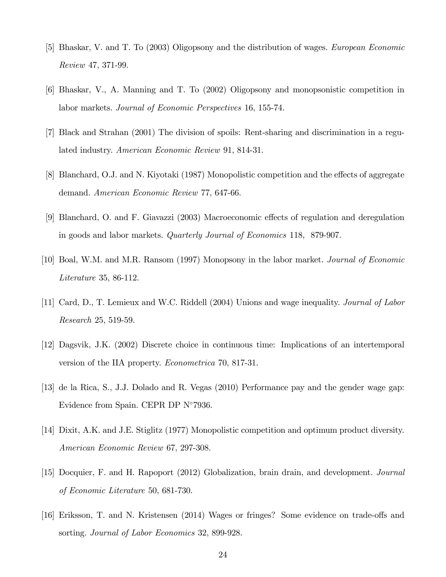- [5] Bhaskar, V. and T. To (2003) Oligopsony and the distribution of wages. European Economic Review 47, 371-99.
- [6] Bhaskar, V., A. Manning and T. To (2002) Oligopsony and monopsonistic competition in labor markets. Journal of Economic Perspectives 16, 155-74.
- [7] Black and Strahan (2001) The division of spoils: Rent-sharing and discrimination in a regulated industry. American Economic Review 91, 814-31.
- [8] Blanchard, O.J. and N. Kiyotaki (1987) Monopolistic competition and the effects of aggregate demand. American Economic Review 77, 647-66.
- [9] Blanchard, O. and F. Giavazzi (2003) Macroeconomic effects of regulation and deregulation in goods and labor markets. Quarterly Journal of Economics 118, 879-907.
- [10] Boal, W.M. and M.R. Ransom (1997) Monopsony in the labor market. Journal of Economic Literature 35, 86-112.
- [11] Card, D., T. Lemieux and W.C. Riddell (2004) Unions and wage inequality. Journal of Labor Research 25, 519-59.
- [12] Dagsvik, J.K. (2002) Discrete choice in continuous time: Implications of an intertemporal version of the IIA property. Econometrica 70, 817-31.
- [13] de la Rica, S., J.J. Dolado and R. Vegas (2010) Performance pay and the gender wage gap: Evidence from Spain. CEPR DP  $N^{\circ}7936$ .
- [14] Dixit, A.K. and J.E. Stiglitz (1977) Monopolistic competition and optimum product diversity. American Economic Review 67, 297-308.
- [15] Docquier, F. and H. Rapoport (2012) Globalization, brain drain, and development. Journal of Economic Literature 50, 681-730.
- [16] Eriksson, T. and N. Kristensen (2014) Wages or fringes? Some evidence on trade-offs and sorting. Journal of Labor Economics 32, 899-928.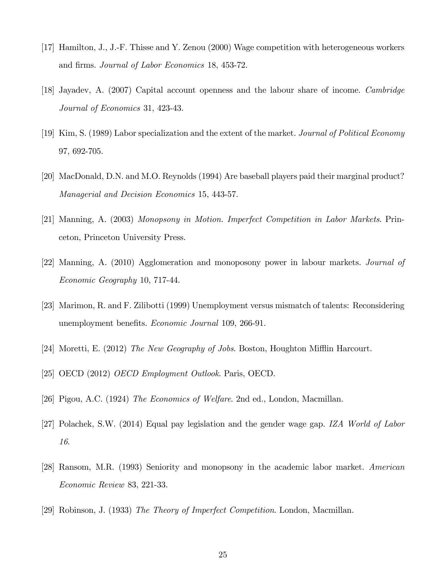- [17] Hamilton, J., J.-F. Thisse and Y. Zenou (2000) Wage competition with heterogeneous workers and firms. *Journal of Labor Economics* 18, 453-72.
- [18] Jayadev, A. (2007) Capital account openness and the labour share of income. Cambridge Journal of Economics 31, 423-43.
- [19] Kim, S. (1989) Labor specialization and the extent of the market. Journal of Political Economy 97, 692-705.
- [20] MacDonald, D.N. and M.O. Reynolds (1994) Are baseball players paid their marginal product? Managerial and Decision Economics 15, 443-57.
- [21] Manning, A. (2003) Monopsony in Motion. Imperfect Competition in Labor Markets. Princeton, Princeton University Press.
- [22] Manning, A. (2010) Agglomeration and monoposony power in labour markets. Journal of Economic Geography 10, 717-44.
- [23] Marimon, R. and F. Zilibotti (1999) Unemployment versus mismatch of talents: Reconsidering unemployment benefits. *Economic Journal* 109, 266-91.
- [24] Moretti, E. (2012) The New Geography of Jobs. Boston, Houghton Mifflin Harcourt.
- [25] OECD (2012) OECD Employment Outlook. Paris, OECD.
- [26] Pigou, A.C. (1924) The Economics of Welfare. 2nd ed., London, Macmillan.
- [27] Polachek, S.W. (2014) Equal pay legislation and the gender wage gap. IZA World of Labor 16.
- [28] Ransom, M.R. (1993) Seniority and monopsony in the academic labor market. American Economic Review 83, 221-33.
- [29] Robinson, J. (1933) The Theory of Imperfect Competition. London, Macmillan.